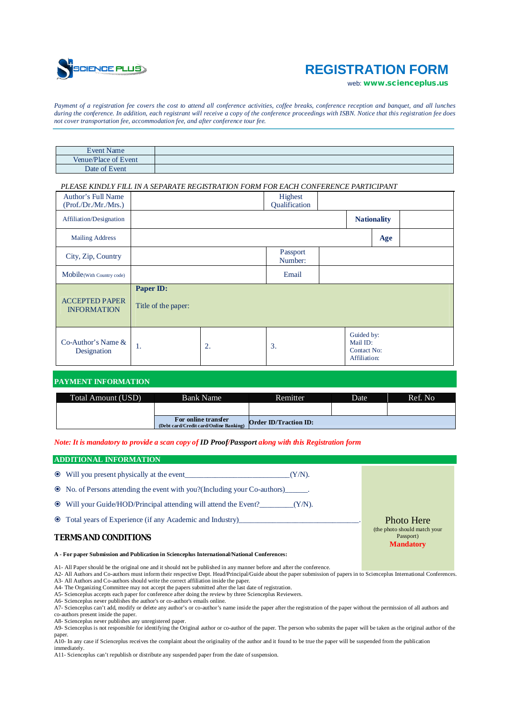

# **REGISTRATION FORM**

web: *[www.scienceplus.us](http://www.scienceplus.us)*

*Payment of a registration fee covers the cost to attend all conference activities, coffee breaks, conference reception and banquet, and all lunches during the conference. In addition, each registrant will receive a copy of the conference proceedings with ISBN. Notice that this registration fee does not cover transportation fee, accommodation fee, and after conference tour fee.*

| <b>Event Name</b>    |  |
|----------------------|--|
| Venue/Place of Event |  |
| Date of Event        |  |

## *PLEASE KINDLY FILL IN A SEPARATE REGISTRATION FORM FOR EACH CONFERENCE PARTICIPANT*

| Author's Full Name                          |                                  |    | Highest             |  |                                                              |     |  |
|---------------------------------------------|----------------------------------|----|---------------------|--|--------------------------------------------------------------|-----|--|
| (Prof./Dr./Mr./Mrs.)                        |                                  |    | Qualification       |  |                                                              |     |  |
| Affiliation/Designation                     |                                  |    |                     |  | <b>Nationality</b>                                           |     |  |
| <b>Mailing Address</b>                      |                                  |    |                     |  |                                                              | Age |  |
| City, Zip, Country                          |                                  |    | Passport<br>Number: |  |                                                              |     |  |
| Mobile(With Country code)                   |                                  |    | Email               |  |                                                              |     |  |
| <b>ACCEPTED PAPER</b><br><b>INFORMATION</b> | Paper ID:<br>Title of the paper: |    |                     |  |                                                              |     |  |
| Co-Author's Name $&$<br>Designation         | 1.                               | 2. | 3.                  |  | Guided by:<br>Mail ID:<br><b>Contact No:</b><br>Affiliation: |     |  |

# **PAYMENT INFORMATION**

| Total Amount (USD) | <b>Bank Name</b>                                              | Remitter.                    | <b>Date</b> | Ref. No. |
|--------------------|---------------------------------------------------------------|------------------------------|-------------|----------|
|                    |                                                               |                              |             |          |
|                    | For online transfer<br>(Debt card/Credit card/Online Banking) | <b>Order ID/Traction ID:</b> |             |          |

*Note: It is mandatory to provide a scan copy of ID Proof/Passport along with this Registration form*

## **ADDITIONAL INFORMATION**

|                                                                                             | • Will you present physically at the event<br>$(Y/N)$ .<br>• No. of Persons attending the event with you? (Including your Co-authors) |                                                                |
|---------------------------------------------------------------------------------------------|---------------------------------------------------------------------------------------------------------------------------------------|----------------------------------------------------------------|
|                                                                                             | $\bullet$ Will your Guide/HOD/Principal attending will attend the Event? (Y/N).                                                       |                                                                |
|                                                                                             | • Total years of Experience (if any Academic and Industry)<br><b>TERMS AND CONDITIONS</b>                                             | <b>Photo Here</b><br>(the photo should match your<br>Passport) |
| A - For paper Submission and Publication in Scienceplus International/National Conferences: |                                                                                                                                       | <b>Mandatory</b>                                               |

A1- All Paper should be the original one and it should not be published in any manner before and after the conference.

A2- All Authors and Co-authors must inform their respective Dept. Head/Principal/Guide about the paper submission of papers in to Scienceplus International Conferences. A3- All Authors and Co-authors should write the correct affiliation inside the paper.

A4- The Organizing Committee may not accept the papers submitted after the last date of registration.

A5- Scienceplus accepts each paper for conference after doing the review by three Scienceplus Reviewers. A6- Scienceplus never publishes the author's or co-author's emails online.

A7- Scienceplus can't add, modify or delete any author's or co-author's name inside the paper after the registration of the paper without the permission of all authors and co-authors present inside the paper.

A8- Scienceplus never publishes any unregistered paper.<br>A9- Scienceplus is not responsible for identifying the Original author or co-author of the paper. The person who submits the paper will be taken as the original autho paper.

<sup>1</sup> <sup>1</sup>. A10- In any case if Scienceplus receives the complaint about the originality of the author and it found to be true the paper will be suspended from the publication immediately.

A11- Scienceplus can't republish or distribute any suspended paper from the date of suspension.